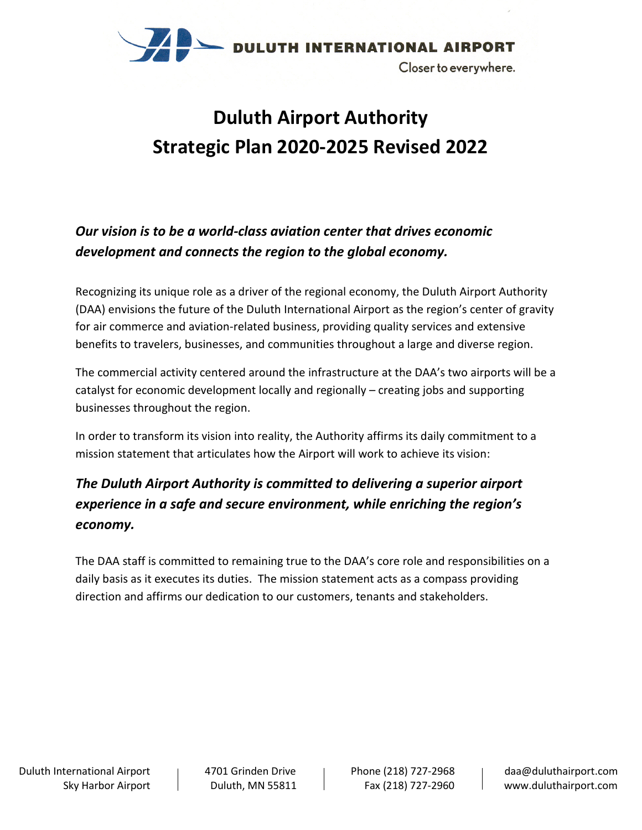

# **Duluth Airport Authority Strategic Plan 2020-2025 Revised 2022**

### *Our vision is to be a world-class aviation center that drives economic development and connects the region to the global economy.*

Recognizing its unique role as a driver of the regional economy, the Duluth Airport Authority (DAA) envisions the future of the Duluth International Airport as the region's center of gravity for air commerce and aviation-related business, providing quality services and extensive benefits to travelers, businesses, and communities throughout a large and diverse region.

The commercial activity centered around the infrastructure at the DAA's two airports will be a catalyst for economic development locally and regionally – creating jobs and supporting businesses throughout the region.

In order to transform its vision into reality, the Authority affirms its daily commitment to a mission statement that articulates how the Airport will work to achieve its vision:

### *The Duluth Airport Authority is committed to delivering a superior airport experience in a safe and secure environment, while enriching the region's economy.*

The DAA staff is committed to remaining true to the DAA's core role and responsibilities on a daily basis as it executes its duties. The mission statement acts as a compass providing direction and affirms our dedication to our customers, tenants and stakeholders.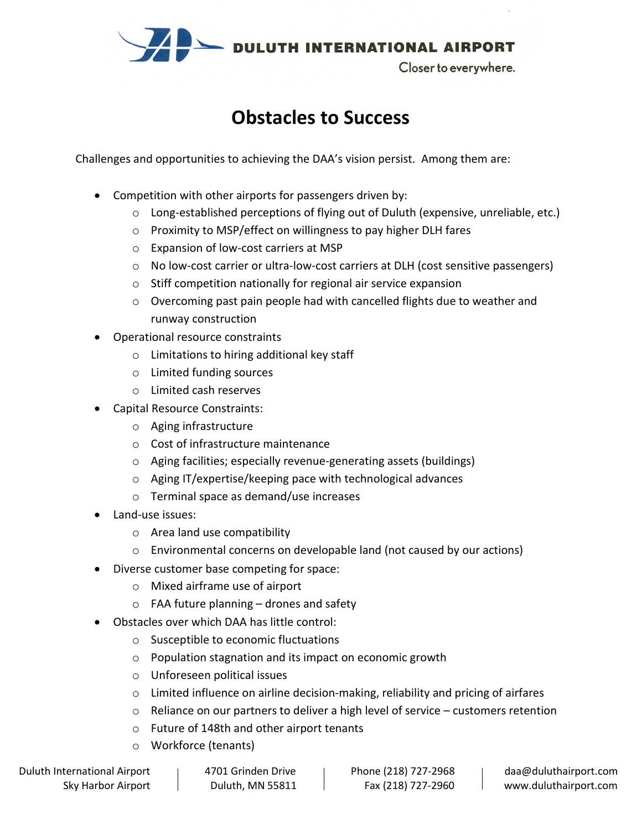

### **Obstacles to Success**

Challenges and opportunities to achieving the DAA's vision persist. Among them are:

- Competition with other airports for passengers driven by:
	- o Long-established perceptions of flying out of Duluth (expensive, unreliable, etc.)
	- o Proximity to MSP/effect on willingness to pay higher DLH fares
	- o Expansion of low-cost carriers at MSP
	- o No low-cost carrier or ultra-low-cost carriers at DLH (cost sensitive passengers)
	- o Stiff competition nationally for regional air service expansion
	- $\circ$  Overcoming past pain people had with cancelled flights due to weather and runway construction
- Operational resource constraints
	- o Limitations to hiring additional key staff
	- o Limited funding sources
	- o Limited cash reserves
- Capital Resource Constraints:
	- o Aging infrastructure
	- o Cost of infrastructure maintenance
	- o Aging facilities; especially revenue-generating assets (buildings)
	- o Aging IT/expertise/keeping pace with technological advances
	- o Terminal space as demand/use increases
- Land-use issues:
	- o Area land use compatibility
	- o Environmental concerns on developable land (not caused by our actions)
- Diverse customer base competing for space:
	- o Mixed airframe use of airport
	- $\circ$  FAA future planning drones and safety
- Obstacles over which DAA has little control:
	- o Susceptible to economic fluctuations
	- o Population stagnation and its impact on economic growth
	- o Unforeseen political issues
	- $\circ$  Limited influence on airline decision-making, reliability and pricing of airfares
	- $\circ$  Reliance on our partners to deliver a high level of service customers retention
	- o Future of 148th and other airport tenants
	- o Workforce (tenants)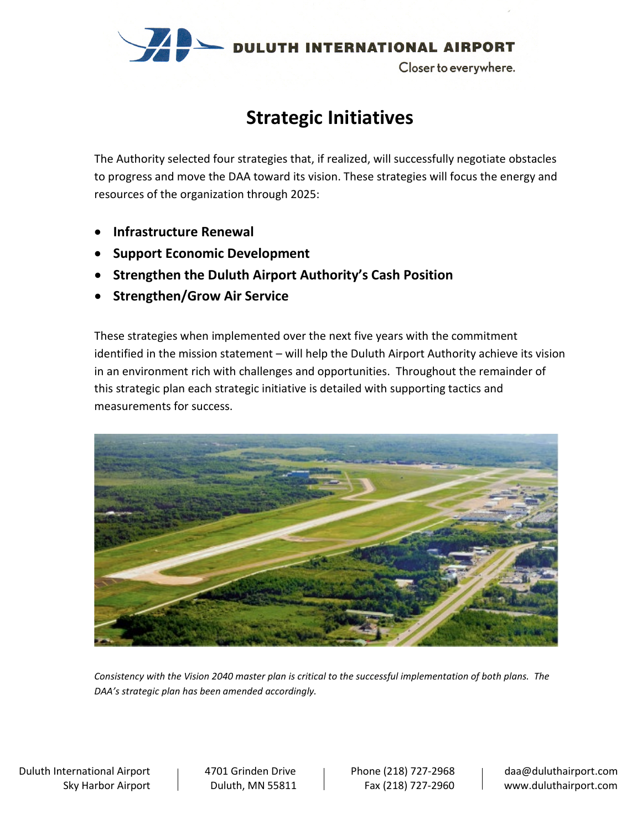

### **Strategic Initiatives**

The Authority selected four strategies that, if realized, will successfully negotiate obstacles to progress and move the DAA toward its vision. These strategies will focus the energy and resources of the organization through 2025:

- **Infrastructure Renewal**
- **Support Economic Development**
- **Strengthen the Duluth Airport Authority's Cash Position**
- **Strengthen/Grow Air Service**

These strategies when implemented over the next five years with the commitment identified in the mission statement – will help the Duluth Airport Authority achieve its vision in an environment rich with challenges and opportunities. Throughout the remainder of this strategic plan each strategic initiative is detailed with supporting tactics and measurements for success.



*Consistency with the Vision 2040 master plan is critical to the successful implementation of both plans. The DAA's strategic plan has been amended accordingly.*

Duluth International Airport | 4701 Grinden Drive | Phone (218) 727-2968 | daa@duluthairport.com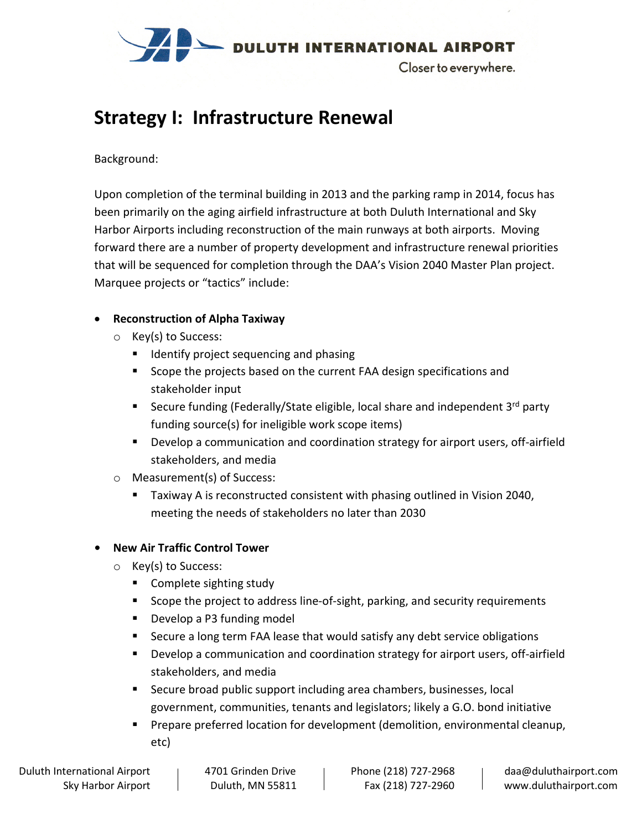

## **Strategy I: Infrastructure Renewal**

#### Background:

Upon completion of the terminal building in 2013 and the parking ramp in 2014, focus has been primarily on the aging airfield infrastructure at both Duluth International and Sky Harbor Airports including reconstruction of the main runways at both airports. Moving forward there are a number of property development and infrastructure renewal priorities that will be sequenced for completion through the DAA's Vision 2040 Master Plan project. Marquee projects or "tactics" include:

### • **Reconstruction of Alpha Taxiway**

- o Key(s) to Success:
	- **If Identify project sequencing and phasing**
	- Scope the projects based on the current FAA design specifications and stakeholder input
	- Secure funding (Federally/State eligible, local share and independent  $3^{rd}$  party funding source(s) for ineligible work scope items)
	- **Develop a communication and coordination strategy for airport users, off-airfield** stakeholders, and media
- o Measurement(s) of Success:
	- Taxiway A is reconstructed consistent with phasing outlined in Vision 2040, meeting the needs of stakeholders no later than 2030

### **• New Air Traffic Control Tower**

- o Key(s) to Success:
	- Complete sighting study
	- **Scope the project to address line-of-sight, parking, and security requirements**
	- **Develop a P3 funding model**
	- Secure a long term FAA lease that would satisfy any debt service obligations
	- **Develop a communication and coordination strategy for airport users, off-airfield** stakeholders, and media
	- Secure broad public support including area chambers, businesses, local government, communities, tenants and legislators; likely a G.O. bond initiative
	- **Prepare preferred location for development (demolition, environmental cleanup,** etc)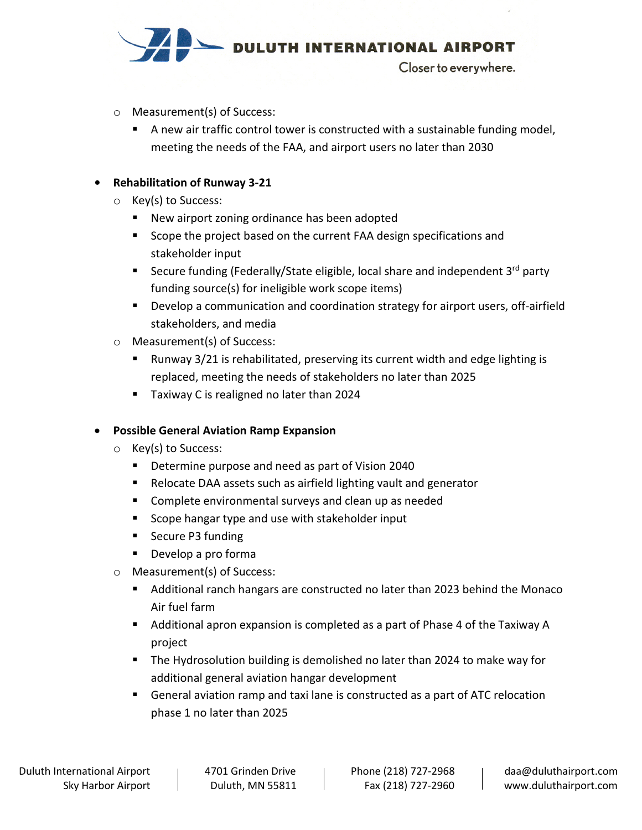

- o Measurement(s) of Success:
	- A new air traffic control tower is constructed with a sustainable funding model, meeting the needs of the FAA, and airport users no later than 2030

### **• Rehabilitation of Runway 3-21**

- o Key(s) to Success:
	- New airport zoning ordinance has been adopted
	- Scope the project based on the current FAA design specifications and stakeholder input
	- Secure funding (Federally/State eligible, local share and independent  $3^{rd}$  party funding source(s) for ineligible work scope items)
	- **Develop a communication and coordination strategy for airport users, off-airfield** stakeholders, and media
- o Measurement(s) of Success:
	- Runway 3/21 is rehabilitated, preserving its current width and edge lighting is replaced, meeting the needs of stakeholders no later than 2025
	- **Taxiway C is realigned no later than 2024**

### • **Possible General Aviation Ramp Expansion**

- o Key(s) to Success:
	- Determine purpose and need as part of Vision 2040
	- Relocate DAA assets such as airfield lighting vault and generator
	- **EXP** Complete environmental surveys and clean up as needed
	- Scope hangar type and use with stakeholder input
	- Secure P3 funding
	- **Develop a pro forma**
- o Measurement(s) of Success:
	- Additional ranch hangars are constructed no later than 2023 behind the Monaco Air fuel farm
	- Additional apron expansion is completed as a part of Phase 4 of the Taxiway A project
	- **The Hydrosolution building is demolished no later than 2024 to make way for** additional general aviation hangar development
	- General aviation ramp and taxi lane is constructed as a part of ATC relocation phase 1 no later than 2025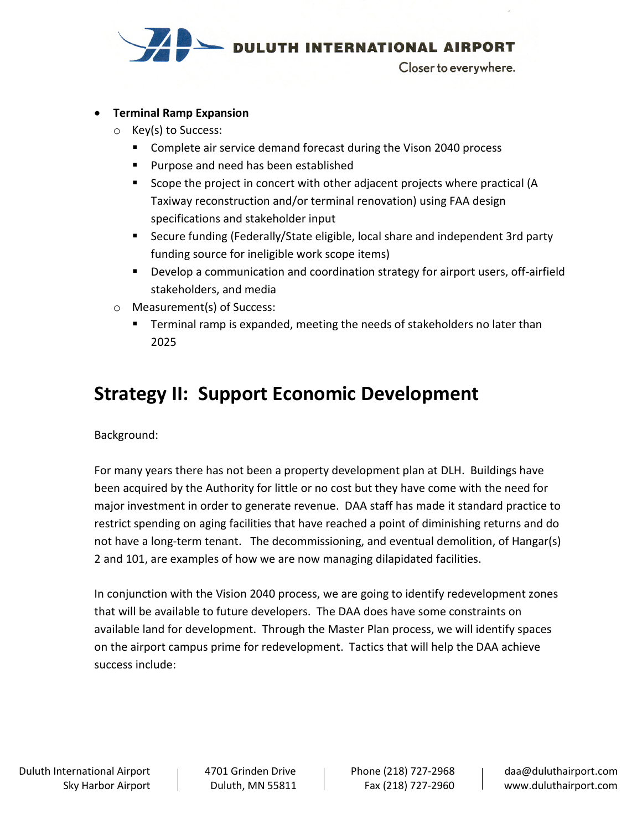

#### • **Terminal Ramp Expansion**

- o Key(s) to Success:
	- Complete air service demand forecast during the Vison 2040 process
	- **Purpose and need has been established**
	- Scope the project in concert with other adjacent projects where practical (A Taxiway reconstruction and/or terminal renovation) using FAA design specifications and stakeholder input
	- Secure funding (Federally/State eligible, local share and independent 3rd party funding source for ineligible work scope items)
	- **Develop a communication and coordination strategy for airport users, off-airfield** stakeholders, and media
- o Measurement(s) of Success:
	- Terminal ramp is expanded, meeting the needs of stakeholders no later than 2025

## **Strategy II: Support Economic Development**

Background:

For many years there has not been a property development plan at DLH. Buildings have been acquired by the Authority for little or no cost but they have come with the need for major investment in order to generate revenue. DAA staff has made it standard practice to restrict spending on aging facilities that have reached a point of diminishing returns and do not have a long-term tenant. The decommissioning, and eventual demolition, of Hangar(s) 2 and 101, are examples of how we are now managing dilapidated facilities.

In conjunction with the Vision 2040 process, we are going to identify redevelopment zones that will be available to future developers. The DAA does have some constraints on available land for development. Through the Master Plan process, we will identify spaces on the airport campus prime for redevelopment. Tactics that will help the DAA achieve success include: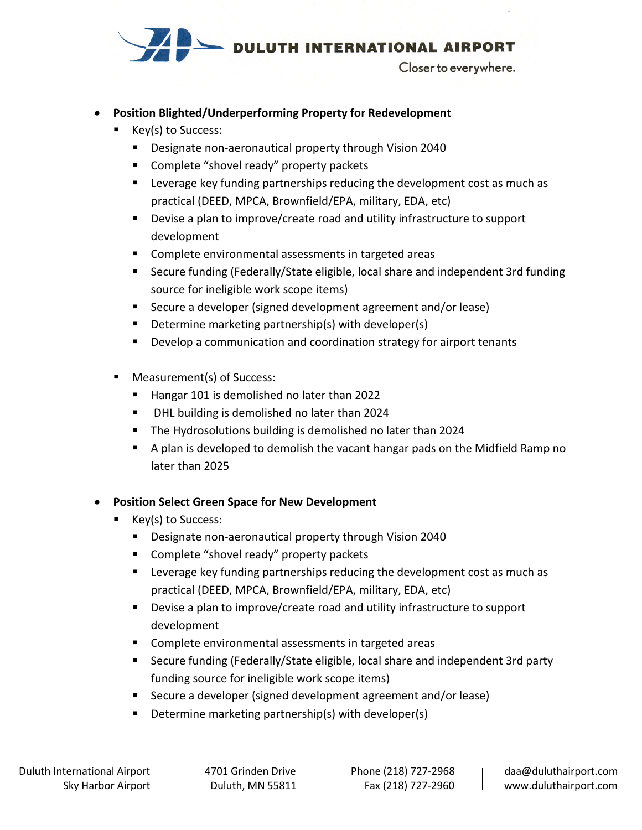

### • **Position Blighted/Underperforming Property for Redevelopment**

- Key(s) to Success:
	- **Designate non-aeronautical property through Vision 2040**
	- **EXP** Complete "shovel ready" property packets
	- **EXEC** Leverage key funding partnerships reducing the development cost as much as practical (DEED, MPCA, Brownfield/EPA, military, EDA, etc)
	- Devise a plan to improve/create road and utility infrastructure to support development
	- **Complete environmental assessments in targeted areas**
	- Secure funding (Federally/State eligible, local share and independent 3rd funding source for ineligible work scope items)
	- Secure a developer (signed development agreement and/or lease)
	- **Determine marketing partnership(s) with developer(s)**
	- **Develop a communication and coordination strategy for airport tenants**
- Measurement(s) of Success:
	- Hangar 101 is demolished no later than 2022
	- **DHL building is demolished no later than 2024**
	- **The Hydrosolutions building is demolished no later than 2024**
	- A plan is developed to demolish the vacant hangar pads on the Midfield Ramp no later than 2025

### • **Position Select Green Space for New Development**

- Key(s) to Success:
	- Designate non-aeronautical property through Vision 2040
	- **EXP** Complete "shovel ready" property packets
	- **EXEDENT EXE** Leverage key funding partnerships reducing the development cost as much as practical (DEED, MPCA, Brownfield/EPA, military, EDA, etc)
	- Devise a plan to improve/create road and utility infrastructure to support development
	- **Complete environmental assessments in targeted areas**
	- Secure funding (Federally/State eligible, local share and independent 3rd party funding source for ineligible work scope items)
	- Secure a developer (signed development agreement and/or lease)
	- **Determine marketing partnership(s) with developer(s)**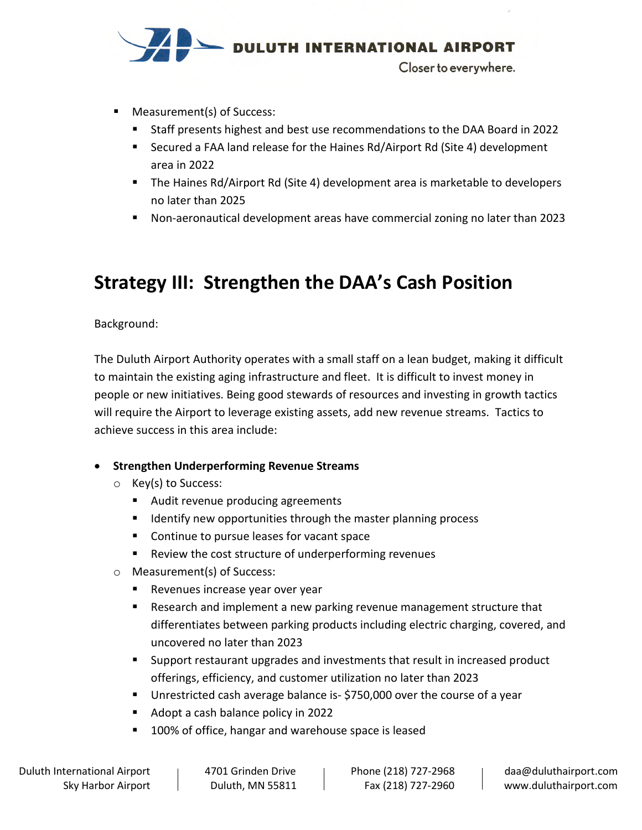

- Measurement(s) of Success:
	- Staff presents highest and best use recommendations to the DAA Board in 2022
	- Secured a FAA land release for the Haines Rd/Airport Rd (Site 4) development area in 2022
	- The Haines Rd/Airport Rd (Site 4) development area is marketable to developers no later than 2025
	- Non-aeronautical development areas have commercial zoning no later than 2023

## **Strategy III: Strengthen the DAA's Cash Position**

Background:

The Duluth Airport Authority operates with a small staff on a lean budget, making it difficult to maintain the existing aging infrastructure and fleet. It is difficult to invest money in people or new initiatives. Being good stewards of resources and investing in growth tactics will require the Airport to leverage existing assets, add new revenue streams. Tactics to achieve success in this area include:

### • **Strengthen Underperforming Revenue Streams**

- o Key(s) to Success:
	- **Audit revenue producing agreements**
	- **If Identify new opportunities through the master planning process**
	- **Continue to pursue leases for vacant space**
	- Review the cost structure of underperforming revenues
- o Measurement(s) of Success:
	- **Revenues increase year over year**
	- Research and implement a new parking revenue management structure that differentiates between parking products including electric charging, covered, and uncovered no later than 2023
	- **Support restaurant upgrades and investments that result in increased product** offerings, efficiency, and customer utilization no later than 2023
	- **Unrestricted cash average balance is- \$750,000 over the course of a year**
	- Adopt a cash balance policy in 2022
	- 100% of office, hangar and warehouse space is leased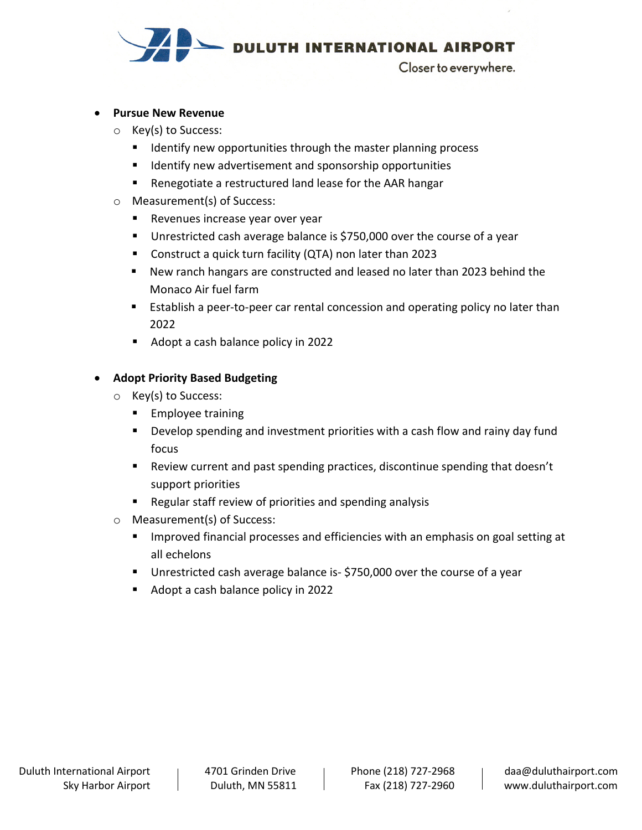

#### • **Pursue New Revenue**

- o Key(s) to Success:
	- $\blacksquare$  Identify new opportunities through the master planning process
	- **If Identify new advertisement and sponsorship opportunities**
	- Renegotiate a restructured land lease for the AAR hangar
- o Measurement(s) of Success:
	- **Revenues increase year over year**
	- **Unrestricted cash average balance is \$750,000 over the course of a year**
	- Construct a quick turn facility (QTA) non later than 2023
	- New ranch hangars are constructed and leased no later than 2023 behind the Monaco Air fuel farm
	- **Establish a peer-to-peer car rental concession and operating policy no later than** 2022
	- Adopt a cash balance policy in 2022

#### • **Adopt Priority Based Budgeting**

- o Key(s) to Success:
	- **Employee training**
	- **Develop spending and investment priorities with a cash flow and rainy day fund** focus
	- Review current and past spending practices, discontinue spending that doesn't support priorities
	- Regular staff review of priorities and spending analysis
- o Measurement(s) of Success:
	- Improved financial processes and efficiencies with an emphasis on goal setting at all echelons
	- Unrestricted cash average balance is- \$750,000 over the course of a year
	- Adopt a cash balance policy in 2022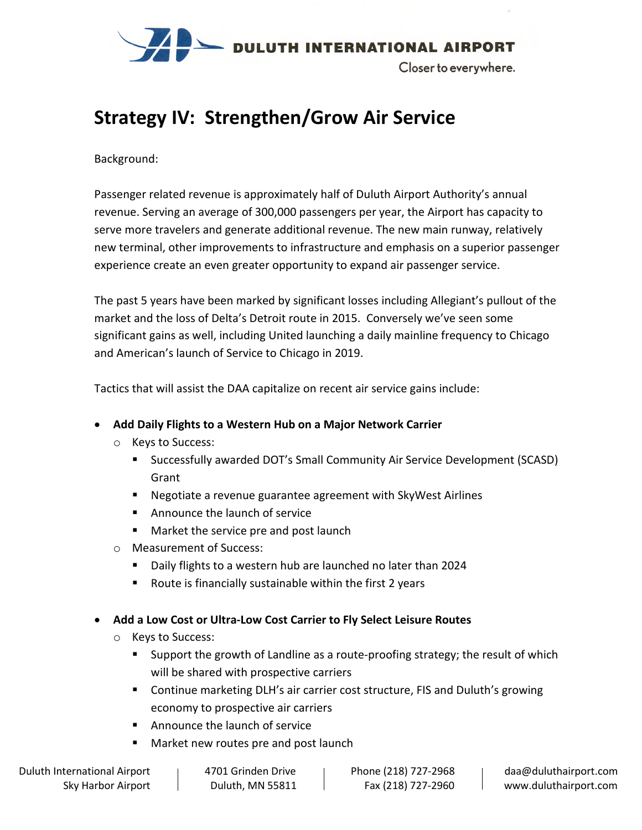

## **Strategy IV: Strengthen/Grow Air Service**

#### Background:

Passenger related revenue is approximately half of Duluth Airport Authority's annual revenue. Serving an average of 300,000 passengers per year, the Airport has capacity to serve more travelers and generate additional revenue. The new main runway, relatively new terminal, other improvements to infrastructure and emphasis on a superior passenger experience create an even greater opportunity to expand air passenger service.

The past 5 years have been marked by significant losses including Allegiant's pullout of the market and the loss of Delta's Detroit route in 2015. Conversely we've seen some significant gains as well, including United launching a daily mainline frequency to Chicago and American's launch of Service to Chicago in 2019.

Tactics that will assist the DAA capitalize on recent air service gains include:

### • **Add Daily Flights to a Western Hub on a Major Network Carrier**

- o Keys to Success:
	- Successfully awarded DOT's Small Community Air Service Development (SCASD) Grant
	- Negotiate a revenue guarantee agreement with SkyWest Airlines
	- **Announce the launch of service**
	- **Market the service pre and post launch**
- o Measurement of Success:
	- Daily flights to a western hub are launched no later than 2024
	- Route is financially sustainable within the first 2 years
- **Add a Low Cost or Ultra-Low Cost Carrier to Fly Select Leisure Routes**
	- o Keys to Success:
		- Support the growth of Landline as a route-proofing strategy; the result of which will be shared with prospective carriers
		- Continue marketing DLH's air carrier cost structure, FIS and Duluth's growing economy to prospective air carriers
		- Announce the launch of service
		- Market new routes pre and post launch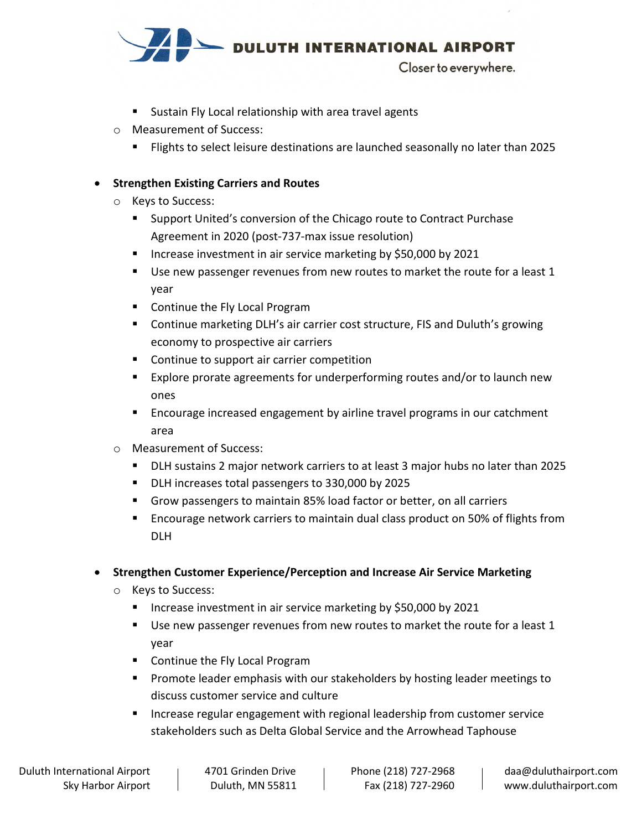

- **Sustain Fly Local relationship with area travel agents**
- o Measurement of Success:
	- Flights to select leisure destinations are launched seasonally no later than 2025

### • **Strengthen Existing Carriers and Routes**

- o Keys to Success:
	- **Support United's conversion of the Chicago route to Contract Purchase** Agreement in 2020 (post-737-max issue resolution)
	- **Increase investment in air service marketing by \$50,000 by 2021**
	- Use new passenger revenues from new routes to market the route for a least 1 year
	- **Continue the Fly Local Program**
	- Continue marketing DLH's air carrier cost structure, FIS and Duluth's growing economy to prospective air carriers
	- Continue to support air carrier competition
	- **Explore prorate agreements for underperforming routes and/or to launch new** ones
	- **Encourage increased engagement by airline travel programs in our catchment** area
- o Measurement of Success:
	- DLH sustains 2 major network carriers to at least 3 major hubs no later than 2025
	- DLH increases total passengers to 330,000 by 2025
	- Grow passengers to maintain 85% load factor or better, on all carriers
	- **Encourage network carriers to maintain dual class product on 50% of flights from** DLH
- **Strengthen Customer Experience/Perception and Increase Air Service Marketing**
	- o Keys to Success:
		- **Increase investment in air service marketing by \$50,000 by 2021**
		- Use new passenger revenues from new routes to market the route for a least 1 year
		- **Continue the Fly Local Program**
		- **Promote leader emphasis with our stakeholders by hosting leader meetings to** discuss customer service and culture
		- **Increase regular engagement with regional leadership from customer service** stakeholders such as Delta Global Service and the Arrowhead Taphouse